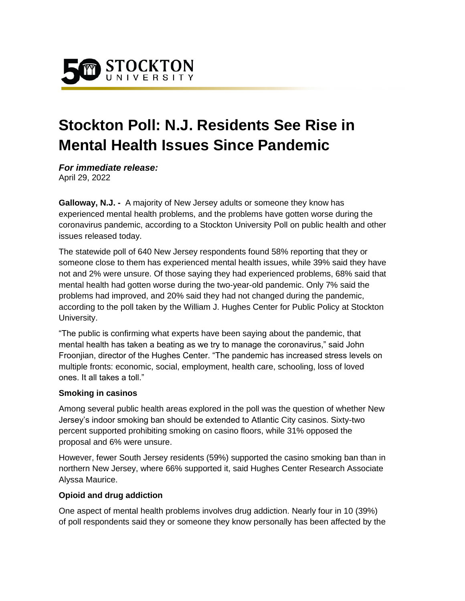

# **Stockton Poll: N.J. Residents See Rise in Mental Health Issues Since Pandemic**

*For immediate release:*  April 29, 2022

**Galloway, N.J. -** A majority of New Jersey adults or someone they know has experienced mental health problems, and the problems have gotten worse during the coronavirus pandemic, according to a Stockton University Poll on public health and other issues released today.

The statewide poll of 640 New Jersey respondents found 58% reporting that they or someone close to them has experienced mental health issues, while 39% said they have not and 2% were unsure. Of those saying they had experienced problems, 68% said that mental health had gotten worse during the two-year-old pandemic. Only 7% said the problems had improved, and 20% said they had not changed during the pandemic, according to the poll taken by the William J. Hughes Center for Public Policy at Stockton University.

"The public is confirming what experts have been saying about the pandemic, that mental health has taken a beating as we try to manage the coronavirus," said John Froonjian, director of the Hughes Center. "The pandemic has increased stress levels on multiple fronts: economic, social, employment, health care, schooling, loss of loved ones. It all takes a toll."

## **Smoking in casinos**

Among several public health areas explored in the poll was the question of whether New Jersey's indoor smoking ban should be extended to Atlantic City casinos. Sixty-two percent supported prohibiting smoking on casino floors, while 31% opposed the proposal and 6% were unsure.

However, fewer South Jersey residents (59%) supported the casino smoking ban than in northern New Jersey, where 66% supported it, said Hughes Center Research Associate Alyssa Maurice.

## **Opioid and drug addiction**

One aspect of mental health problems involves drug addiction. Nearly four in 10 (39%) of poll respondents said they or someone they know personally has been affected by the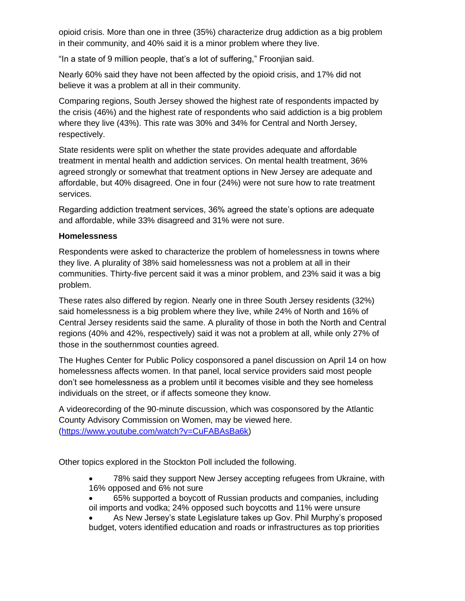opioid crisis. More than one in three (35%) characterize drug addiction as a big problem in their community, and 40% said it is a minor problem where they live.

"In a state of 9 million people, that's a lot of suffering," Froonjian said.

Nearly 60% said they have not been affected by the opioid crisis, and 17% did not believe it was a problem at all in their community.

Comparing regions, South Jersey showed the highest rate of respondents impacted by the crisis (46%) and the highest rate of respondents who said addiction is a big problem where they live (43%). This rate was 30% and 34% for Central and North Jersey, respectively.

State residents were split on whether the state provides adequate and affordable treatment in mental health and addiction services. On mental health treatment, 36% agreed strongly or somewhat that treatment options in New Jersey are adequate and affordable, but 40% disagreed. One in four (24%) were not sure how to rate treatment services.

Regarding addiction treatment services, 36% agreed the state's options are adequate and affordable, while 33% disagreed and 31% were not sure.

## **Homelessness**

Respondents were asked to characterize the problem of homelessness in towns where they live. A plurality of 38% said homelessness was not a problem at all in their communities. Thirty-five percent said it was a minor problem, and 23% said it was a big problem.

These rates also differed by region. Nearly one in three South Jersey residents (32%) said homelessness is a big problem where they live, while 24% of North and 16% of Central Jersey residents said the same. A plurality of those in both the North and Central regions (40% and 42%, respectively) said it was not a problem at all, while only 27% of those in the southernmost counties agreed.

The Hughes Center for Public Policy cosponsored a panel discussion on April 14 on how homelessness affects women. In that panel, local service providers said most people don't see homelessness as a problem until it becomes visible and they see homeless individuals on the street, or if affects someone they know.

A videorecording of the 90-minute discussion, which was cosponsored by the Atlantic County Advisory Commission on Women, may be viewed here. [\(https://www.youtube.com/watch?v=CuFABAsBa6k\)](https://www.youtube.com/watch?v=CuFABAsBa6k)

Other topics explored in the Stockton Poll included the following.

- 78% said they support New Jersey accepting refugees from Ukraine, with 16% opposed and 6% not sure
- 65% supported a boycott of Russian products and companies, including oil imports and vodka; 24% opposed such boycotts and 11% were unsure

• As New Jersey's state Legislature takes up Gov. Phil Murphy's proposed budget, voters identified education and roads or infrastructures as top priorities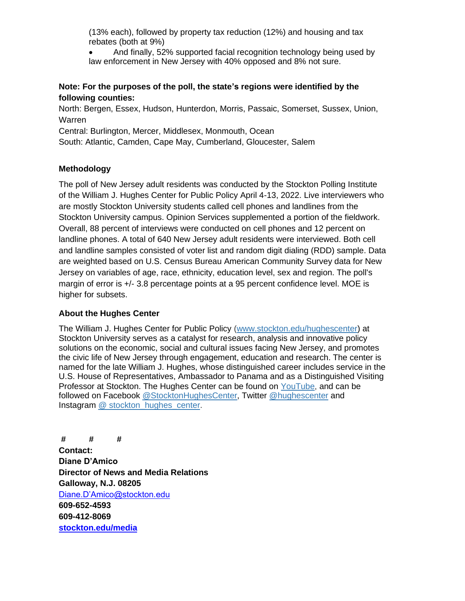(13% each), followed by property tax reduction (12%) and housing and tax rebates (both at 9%)

• And finally, 52% supported facial recognition technology being used by law enforcement in New Jersey with 40% opposed and 8% not sure.

## **Note: For the purposes of the poll, the state's regions were identified by the following counties:**

North: Bergen, Essex, Hudson, Hunterdon, Morris, Passaic, Somerset, Sussex, Union, Warren

Central: Burlington, Mercer, Middlesex, Monmouth, Ocean

South: Atlantic, Camden, Cape May, Cumberland, Gloucester, Salem

# **Methodology**

The poll of New Jersey adult residents was conducted by the Stockton Polling Institute of the William J. Hughes Center for Public Policy April 4-13, 2022. Live interviewers who are mostly Stockton University students called cell phones and landlines from the Stockton University campus. Opinion Services supplemented a portion of the fieldwork. Overall, 88 percent of interviews were conducted on cell phones and 12 percent on landline phones. A total of 640 New Jersey adult residents were interviewed. Both cell and landline samples consisted of voter list and random digit dialing (RDD) sample. Data are weighted based on U.S. Census Bureau American Community Survey data for New Jersey on variables of age, race, ethnicity, education level, sex and region. The poll's margin of error is +/- 3.8 percentage points at a 95 percent confidence level. MOE is higher for subsets.

# **About the Hughes Center**

The William J. Hughes Center for Public Policy [\(www.stockton.edu/hughescenter\)](http://www.stockton.edu/hughescenter) at Stockton University serves as a catalyst for research, analysis and innovative policy solutions on the economic, social and cultural issues facing New Jersey, and promotes the civic life of New Jersey through engagement, education and research. The center is named for the late William J. Hughes, whose distinguished career includes service in the U.S. House of Representatives, Ambassador to Panama and as a Distinguished Visiting Professor at Stockton. The Hughes Center can be found on [YouTube,](https://www.youtube.com/channel/UCUZ2StL36unDd0jyfOaFkNg) and can be followed on Facebook [@StocktonHughesCenter,](https://www.facebook.com/StocktonHughesCenter) Twitter [@hughescenter](https://twitter.com/HughesCenter) and Instagram [@ stockton\\_hughes\\_center.](https://www.instagram.com/stockton_hughes_center/)

**# # # Contact: Diane D'Amico Director of News and Media Relations Galloway, N.J. 08205** [Diane.D'Amico@stockton.edu](mailto:Diane.D) **609-652-4593 609-412-8069 [stockton.edu/media](http://www.stockton.edu/media)**